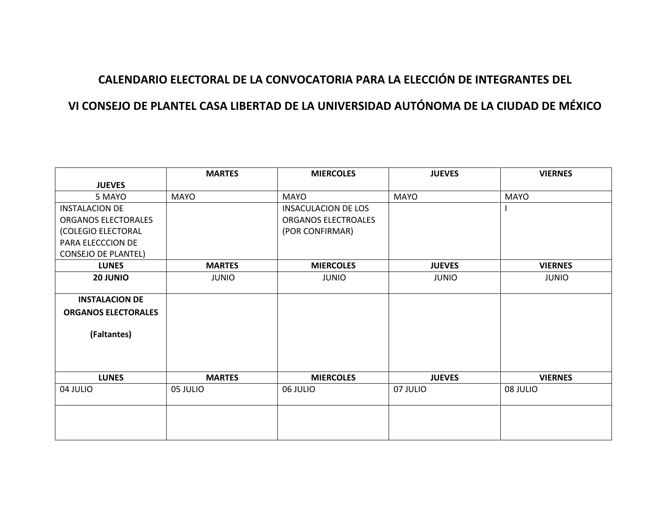## **CALENDARIO ELECTORAL DE LA CONVOCATORIA PARA LA ELECCIÓN DE INTEGRANTES DEL**

## **VI CONSEJO DE PLANTEL CASA LIBERTAD DE LA UNIVERSIDAD AUTÓNOMA DE LA CIUDAD DE MÉXICO**

| <b>MARTES</b> | <b>MIERCOLES</b>          | <b>JUEVES</b>                | <b>VIERNES</b>            |
|---------------|---------------------------|------------------------------|---------------------------|
|               |                           |                              |                           |
| <b>MAYO</b>   | <b>MAYO</b>               | <b>MAYO</b>                  | <b>MAYO</b>               |
|               | INSACULACION DE LOS       |                              |                           |
|               | ORGANOS ELECTROALES       |                              |                           |
|               | (POR CONFIRMAR)           |                              |                           |
|               |                           |                              |                           |
|               |                           |                              |                           |
| <b>MARTES</b> | <b>MIERCOLES</b>          | <b>JUEVES</b>                | <b>VIERNES</b>            |
| <b>JUNIO</b>  | <b>JUNIO</b>              | <b>JUNIO</b>                 | <b>JUNIO</b>              |
|               |                           |                              |                           |
|               |                           |                              |                           |
|               |                           |                              |                           |
|               |                           |                              |                           |
|               |                           |                              |                           |
|               |                           |                              |                           |
|               |                           |                              |                           |
|               |                           |                              | <b>VIERNES</b>            |
|               |                           |                              |                           |
|               |                           |                              | 08 JULIO                  |
|               |                           |                              |                           |
|               |                           |                              |                           |
|               |                           |                              |                           |
|               | <b>MARTES</b><br>05 JULIO | <b>MIERCOLES</b><br>06 JULIO | <b>JUEVES</b><br>07 JULIO |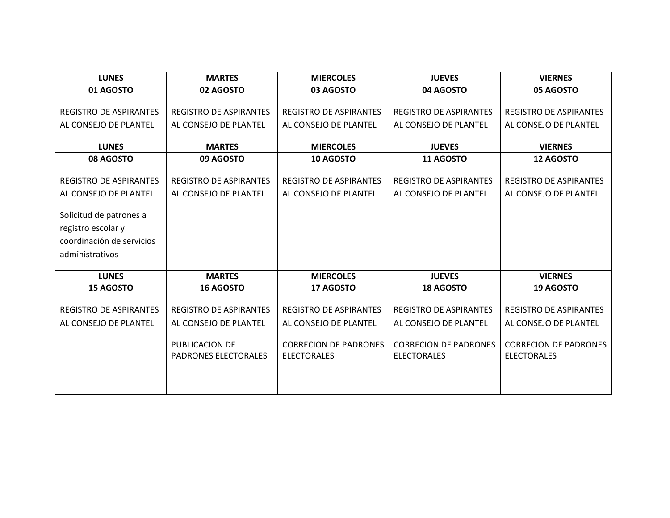| <b>LUNES</b>                  | <b>MARTES</b>                                 | <b>MIERCOLES</b>                                   | <b>JUEVES</b>                                      | <b>VIERNES</b>                                     |
|-------------------------------|-----------------------------------------------|----------------------------------------------------|----------------------------------------------------|----------------------------------------------------|
| 01 AGOSTO                     | 02 AGOSTO                                     | 03 AGOSTO                                          | 04 AGOSTO                                          | 05 AGOSTO                                          |
|                               |                                               |                                                    |                                                    |                                                    |
| <b>REGISTRO DE ASPIRANTES</b> | <b>REGISTRO DE ASPIRANTES</b>                 | <b>REGISTRO DE ASPIRANTES</b>                      | <b>REGISTRO DE ASPIRANTES</b>                      | <b>REGISTRO DE ASPIRANTES</b>                      |
| AL CONSEJO DE PLANTEL         | AL CONSEJO DE PLANTEL                         | AL CONSEJO DE PLANTEL                              | AL CONSEJO DE PLANTEL                              | AL CONSEJO DE PLANTEL                              |
| <b>LUNES</b>                  | <b>MARTES</b>                                 | <b>MIERCOLES</b>                                   | <b>JUEVES</b>                                      | <b>VIERNES</b>                                     |
| 08 AGOSTO                     | 09 AGOSTO                                     | 10 AGOSTO                                          | 11 AGOSTO                                          | <b>12 AGOSTO</b>                                   |
|                               |                                               |                                                    |                                                    |                                                    |
| <b>REGISTRO DE ASPIRANTES</b> | <b>REGISTRO DE ASPIRANTES</b>                 | <b>REGISTRO DE ASPIRANTES</b>                      | <b>REGISTRO DE ASPIRANTES</b>                      | <b>REGISTRO DE ASPIRANTES</b>                      |
| AL CONSEJO DE PLANTEL         | AL CONSEJO DE PLANTEL                         | AL CONSEJO DE PLANTEL                              | AL CONSEJO DE PLANTEL                              | AL CONSEJO DE PLANTEL                              |
|                               |                                               |                                                    |                                                    |                                                    |
| Solicitud de patrones a       |                                               |                                                    |                                                    |                                                    |
| registro escolar y            |                                               |                                                    |                                                    |                                                    |
| coordinación de servicios     |                                               |                                                    |                                                    |                                                    |
| administrativos               |                                               |                                                    |                                                    |                                                    |
| <b>LUNES</b>                  | <b>MARTES</b>                                 | <b>MIERCOLES</b>                                   | <b>JUEVES</b>                                      | <b>VIERNES</b>                                     |
| <b>15 AGOSTO</b>              | <b>16 AGOSTO</b>                              | 17 AGOSTO                                          | <b>18 AGOSTO</b>                                   | <b>19 AGOSTO</b>                                   |
|                               |                                               |                                                    |                                                    |                                                    |
| <b>REGISTRO DE ASPIRANTES</b> | <b>REGISTRO DE ASPIRANTES</b>                 | <b>REGISTRO DE ASPIRANTES</b>                      | <b>REGISTRO DE ASPIRANTES</b>                      | <b>REGISTRO DE ASPIRANTES</b>                      |
| AL CONSEJO DE PLANTEL         | AL CONSEJO DE PLANTEL                         | AL CONSEJO DE PLANTEL                              | AL CONSEJO DE PLANTEL                              | AL CONSEJO DE PLANTEL                              |
|                               | PUBLICACION DE<br><b>PADRONES ELECTORALES</b> | <b>CORRECION DE PADRONES</b><br><b>ELECTORALES</b> | <b>CORRECION DE PADRONES</b><br><b>ELECTORALES</b> | <b>CORRECION DE PADRONES</b><br><b>ELECTORALES</b> |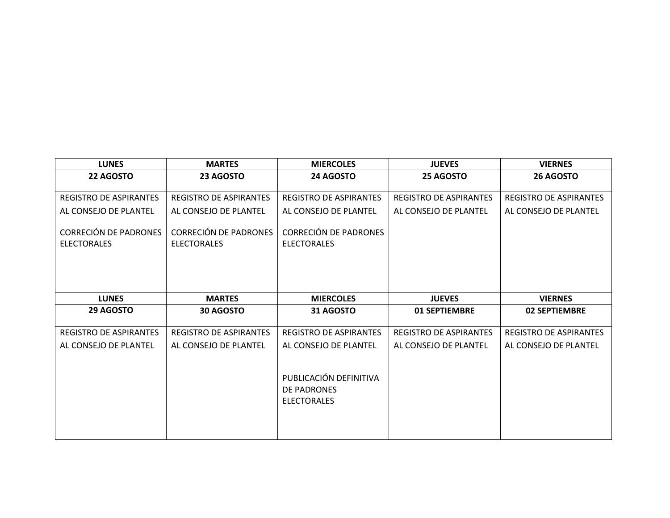| <b>LUNES</b>                                | <b>MARTES</b>                                      | <b>MIERCOLES</b>                                            | <b>JUEVES</b>                 | <b>VIERNES</b>                |
|---------------------------------------------|----------------------------------------------------|-------------------------------------------------------------|-------------------------------|-------------------------------|
| 22 AGOSTO                                   | 23 AGOSTO                                          | 24 AGOSTO                                                   | 25 AGOSTO                     | 26 AGOSTO                     |
| <b>REGISTRO DE ASPIRANTES</b>               | <b>REGISTRO DE ASPIRANTES</b>                      | <b>REGISTRO DE ASPIRANTES</b>                               | <b>REGISTRO DE ASPIRANTES</b> | <b>REGISTRO DE ASPIRANTES</b> |
| AL CONSEJO DE PLANTEL                       | AL CONSEJO DE PLANTEL                              | AL CONSEJO DE PLANTEL                                       | AL CONSEJO DE PLANTEL         | AL CONSEJO DE PLANTEL         |
| CORRECIÓN DE PADRONES<br><b>ELECTORALES</b> | <b>CORRECIÓN DE PADRONES</b><br><b>ELECTORALES</b> | <b>CORRECIÓN DE PADRONES</b><br><b>ELECTORALES</b>          |                               |                               |
| <b>LUNES</b>                                | <b>MARTES</b>                                      | <b>MIERCOLES</b>                                            | <b>JUEVES</b>                 | <b>VIERNES</b>                |
| 29 AGOSTO                                   | <b>30 AGOSTO</b>                                   | 31 AGOSTO                                                   | 01 SEPTIEMBRE                 | <b>02 SEPTIEMBRE</b>          |
| <b>REGISTRO DE ASPIRANTES</b>               | <b>REGISTRO DE ASPIRANTES</b>                      | <b>REGISTRO DE ASPIRANTES</b>                               | <b>REGISTRO DE ASPIRANTES</b> | <b>REGISTRO DE ASPIRANTES</b> |
| AL CONSEJO DE PLANTEL                       | AL CONSEJO DE PLANTEL                              | AL CONSEJO DE PLANTEL                                       | AL CONSEJO DE PLANTEL         | AL CONSEJO DE PLANTEL         |
|                                             |                                                    | PUBLICACIÓN DEFINITIVA<br>DE PADRONES<br><b>ELECTORALES</b> |                               |                               |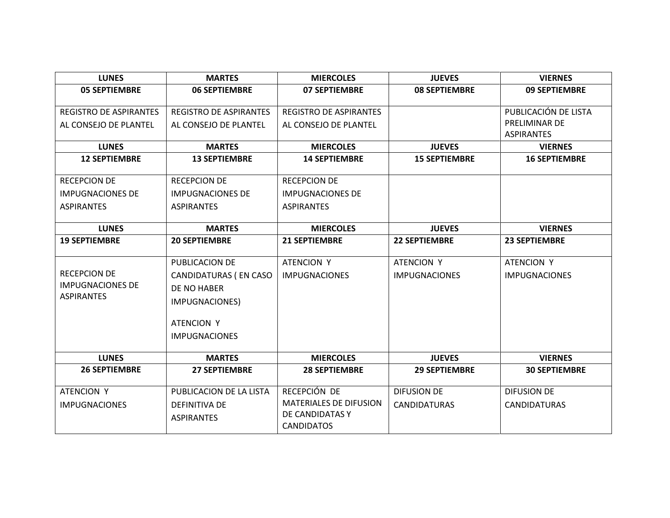| <b>LUNES</b>                  | <b>MARTES</b>                 | <b>MIERCOLES</b>                     | <b>JUEVES</b>        | <b>VIERNES</b>       |
|-------------------------------|-------------------------------|--------------------------------------|----------------------|----------------------|
| <b>05 SEPTIEMBRE</b>          | <b>06 SEPTIEMBRE</b>          | <b>07 SEPTIEMBRE</b>                 | <b>08 SEPTIEMBRE</b> | 09 SEPTIEMBRE        |
| <b>REGISTRO DE ASPIRANTES</b> | <b>REGISTRO DE ASPIRANTES</b> | <b>REGISTRO DE ASPIRANTES</b>        |                      | PUBLICACIÓN DE LISTA |
| AL CONSEJO DE PLANTEL         | AL CONSEJO DE PLANTEL         | AL CONSEJO DE PLANTEL                |                      | PRELIMINAR DE        |
|                               |                               |                                      |                      | <b>ASPIRANTES</b>    |
| <b>LUNES</b>                  | <b>MARTES</b>                 | <b>MIERCOLES</b>                     | <b>JUEVES</b>        | <b>VIERNES</b>       |
| <b>12 SEPTIEMBRE</b>          | <b>13 SEPTIEMBRE</b>          | <b>14 SEPTIEMBRE</b>                 | <b>15 SEPTIEMBRE</b> | <b>16 SEPTIEMBRE</b> |
| <b>RECEPCION DE</b>           | <b>RECEPCION DE</b>           | <b>RECEPCION DE</b>                  |                      |                      |
| <b>IMPUGNACIONES DE</b>       | <b>IMPUGNACIONES DE</b>       | <b>IMPUGNACIONES DE</b>              |                      |                      |
| <b>ASPIRANTES</b>             | <b>ASPIRANTES</b>             | <b>ASPIRANTES</b>                    |                      |                      |
|                               |                               |                                      |                      |                      |
| <b>LUNES</b>                  | <b>MARTES</b>                 | <b>MIERCOLES</b>                     | <b>JUEVES</b>        | <b>VIERNES</b>       |
| <b>19 SEPTIEMBRE</b>          | <b>20 SEPTIEMBRE</b>          | <b>21 SEPTIEMBRE</b>                 | <b>22 SEPTIEMBRE</b> | <b>23 SEPTIEMBRE</b> |
|                               | PUBLICACION DE                | <b>ATENCION Y</b>                    | <b>ATENCION Y</b>    | <b>ATENCION Y</b>    |
| <b>RECEPCION DE</b>           | CANDIDATURAS (EN CASO         |                                      |                      |                      |
| <b>IMPUGNACIONES DE</b>       |                               | <b>IMPUGNACIONES</b>                 | <b>IMPUGNACIONES</b> | <b>IMPUGNACIONES</b> |
| <b>ASPIRANTES</b>             | DE NO HABER                   |                                      |                      |                      |
|                               | IMPUGNACIONES)                |                                      |                      |                      |
|                               | ATENCION Y                    |                                      |                      |                      |
|                               | <b>IMPUGNACIONES</b>          |                                      |                      |                      |
|                               |                               |                                      |                      |                      |
| <b>LUNES</b>                  | <b>MARTES</b>                 | <b>MIERCOLES</b>                     | <b>JUEVES</b>        | <b>VIERNES</b>       |
| <b>26 SEPTIEMBRE</b>          | <b>27 SEPTIEMBRE</b>          | <b>28 SEPTIEMBRE</b>                 | <b>29 SEPTIEMBRE</b> | <b>30 SEPTIEMBRE</b> |
|                               |                               |                                      |                      |                      |
| ATENCION Y                    | PUBLICACION DE LA LISTA       | RECEPCIÓN DE                         | DIFUSION DE          | <b>DIFUSION DE</b>   |
| <b>IMPUGNACIONES</b>          | <b>DEFINITIVA DE</b>          | <b>MATERIALES DE DIFUSION</b>        | <b>CANDIDATURAS</b>  | <b>CANDIDATURAS</b>  |
|                               | <b>ASPIRANTES</b>             | DE CANDIDATAS Y<br><b>CANDIDATOS</b> |                      |                      |
|                               |                               |                                      |                      |                      |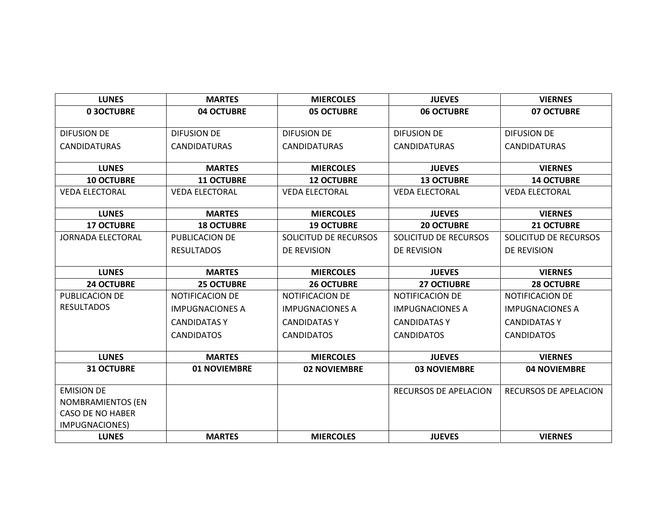| <b>LUNES</b>             | <b>MARTES</b>          | <b>MIERCOLES</b>       | <b>JUEVES</b>          | <b>VIERNES</b>         |
|--------------------------|------------------------|------------------------|------------------------|------------------------|
| 03OCTUBRE                | 04 OCTUBRE             | <b>05 OCTUBRE</b>      | <b>06 OCTUBRE</b>      | 07 OCTUBRE             |
|                          |                        |                        |                        |                        |
| <b>DIFUSION DE</b>       | <b>DIFUSION DE</b>     | <b>DIFUSION DE</b>     | <b>DIFUSION DE</b>     | <b>DIFUSION DE</b>     |
| <b>CANDIDATURAS</b>      | <b>CANDIDATURAS</b>    | <b>CANDIDATURAS</b>    | <b>CANDIDATURAS</b>    | <b>CANDIDATURAS</b>    |
| <b>LUNES</b>             | <b>MARTES</b>          | <b>MIERCOLES</b>       | <b>JUEVES</b>          | <b>VIERNES</b>         |
| <b>10 OCTUBRE</b>        | <b>11 OCTUBRE</b>      | <b>12 OCTUBRE</b>      | <b>13 OCTUBRE</b>      | <b>14 OCTUBRE</b>      |
| <b>VEDA ELECTORAL</b>    | <b>VEDA ELECTORAL</b>  | <b>VEDA ELECTORAL</b>  | <b>VEDA ELECTORAL</b>  | <b>VEDA ELECTORAL</b>  |
| <b>LUNES</b>             | <b>MARTES</b>          | <b>MIERCOLES</b>       | <b>JUEVES</b>          | <b>VIERNES</b>         |
| <b>17 OCTUBRE</b>        | <b>18 OCTUBRE</b>      | <b>19 OCTUBRE</b>      | <b>20 OCTUBRE</b>      | 21 OCTUBRE             |
| <b>JORNADA ELECTORAL</b> | PUBLICACION DE         | SOLICITUD DE RECURSOS  | SOLICITUD DE RECURSOS  | SOLICITUD DE RECURSOS  |
|                          | <b>RESULTADOS</b>      | DE REVISION            | DE REVISION            | DE REVISION            |
| <b>LUNES</b>             | <b>MARTES</b>          | <b>MIERCOLES</b>       | <b>JUEVES</b>          | <b>VIERNES</b>         |
| <b>24 OCTUBRE</b>        | <b>25 OCTUBRE</b>      | <b>26 OCTUBRE</b>      | <b>27 OCTIUBRE</b>     | <b>28 OCTUBRE</b>      |
| PUBLICACION DE           | <b>NOTIFICACION DE</b> | <b>NOTIFICACION DE</b> | <b>NOTIFICACION DE</b> | <b>NOTIFICACION DE</b> |
| <b>RESULTADOS</b>        | <b>IMPUGNACIONES A</b> | <b>IMPUGNACIONES A</b> | <b>IMPUGNACIONES A</b> | <b>IMPUGNACIONES A</b> |
|                          | <b>CANDIDATASY</b>     | <b>CANDIDATAS Y</b>    | <b>CANDIDATAS Y</b>    | <b>CANDIDATAS Y</b>    |
|                          | <b>CANDIDATOS</b>      | <b>CANDIDATOS</b>      | <b>CANDIDATOS</b>      | <b>CANDIDATOS</b>      |
|                          |                        |                        |                        |                        |
| <b>LUNES</b>             | <b>MARTES</b>          | <b>MIERCOLES</b>       | <b>JUEVES</b>          | <b>VIERNES</b>         |
| <b>31 OCTUBRE</b>        | 01 NOVIEMBRE           | <b>02 NOVIEMBRE</b>    | <b>03 NOVIEMBRE</b>    | <b>04 NOVIEMBRE</b>    |
| <b>EMISION DE</b>        |                        |                        | RECURSOS DE APELACION  | RECURSOS DE APELACION  |
| <b>NOMBRAMIENTOS (EN</b> |                        |                        |                        |                        |
| <b>CASO DE NO HABER</b>  |                        |                        |                        |                        |
| IMPUGNACIONES)           |                        |                        |                        |                        |
|                          |                        |                        |                        |                        |